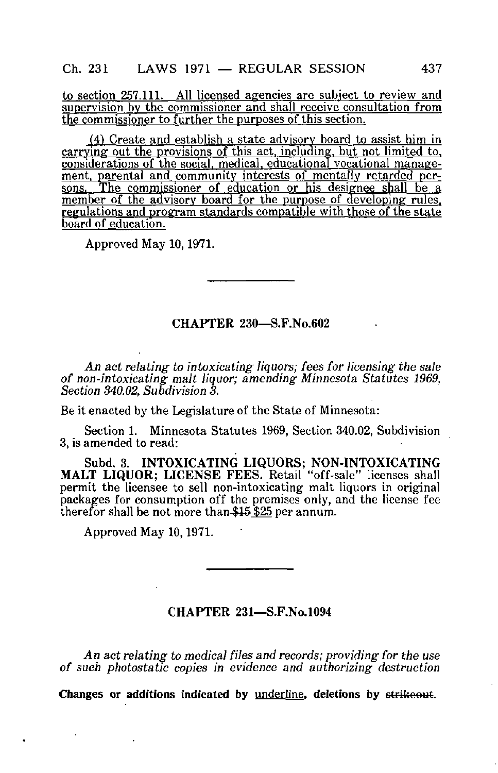to section 257.111. All licensed agencies arc subject to review and supervision by the commissioner and shall receive consultation from the commissioner to further the purposes of this section.

(4) Create and establish a state advisory board to assist him in carrying out the provisions of this act, including, but not limited to. considerations of the social, medical, educational vocational management, parental and community interests of mentally retarded persons. The commissioner of education or his designee shall be a member of the advisory board for the purpose of developing rules, regulations and program standards compatible with those of the state board of education.

Approved May 10,1971.

## CHAPTER 230—S.F.No.602

An act relating to intoxicating liquors; fees for licensing the sale of non-intoxicating malt liquor; amending Minnesota Statutes 1969, Section 340.02, Subdivision 3.

Be it enacted by the Legislature of the State of Minnesota:

Section 1. Minnesota Statutes 1969, Section 340.02, Subdivision 3, is amended to read:

Subd. 3. INTOXICATING LIQUORS; NON-INTOXICATING MALT LIQUOR; LICENSE FEES. Retail "off-sale" licenses shall permit the licensee to sell non-intoxicating malt liquors in original packages for consumption off the premises only, and the license fee therefor shall be not more than \$15 \$25 per annum.

Approved May 10,1971.

## CHAPTER 231—S.F.No.1094

An act relating to medical files and records; providing for the use of such photostatic copies in evidence and authorizing destruction

Changes or additions indicated by underline, deletions by strikeout.